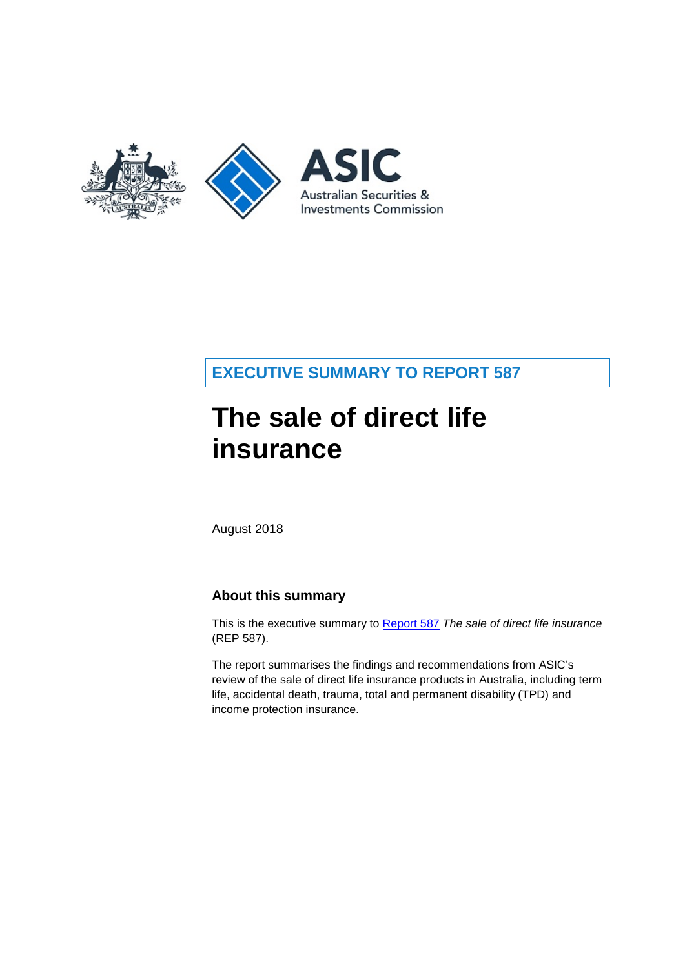

## **EXECUTIVE SUMMARY TO REPORT 587**

# **The sale of direct life insurance**

August 2018

### **About this summary**

This is the executive summary to [Report 587](https://asic.gov.au/regulatory-resources/find-a-document/find-a-regulatory-document/?filter=Report&find=all) *The sale of direct life insurance* (REP 587).

The report summarises the findings and recommendations from ASIC's review of the sale of direct life insurance products in Australia, including term life, accidental death, trauma, total and permanent disability (TPD) and income protection insurance.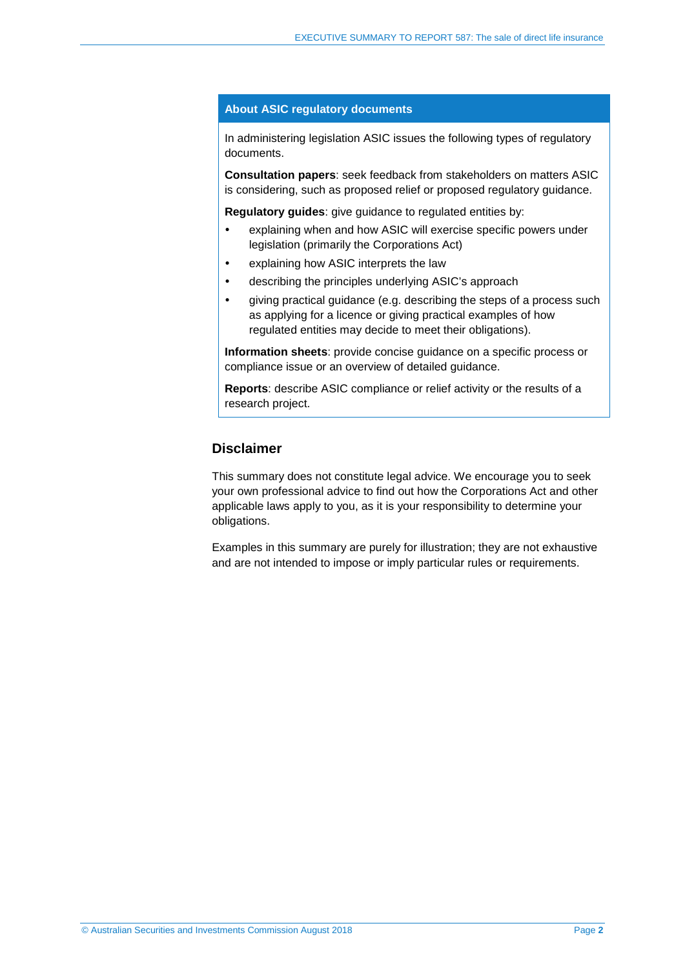#### **About ASIC regulatory documents**

In administering legislation ASIC issues the following types of regulatory documents.

**Consultation papers**: seek feedback from stakeholders on matters ASIC is considering, such as proposed relief or proposed regulatory guidance.

**Regulatory guides**: give guidance to regulated entities by:

- explaining when and how ASIC will exercise specific powers under legislation (primarily the Corporations Act)
- explaining how ASIC interprets the law
- describing the principles underlying ASIC's approach
- giving practical guidance (e.g. describing the steps of a process such as applying for a licence or giving practical examples of how regulated entities may decide to meet their obligations).

**Information sheets**: provide concise guidance on a specific process or compliance issue or an overview of detailed guidance.

**Reports**: describe ASIC compliance or relief activity or the results of a research project.

### **Disclaimer**

This summary does not constitute legal advice. We encourage you to seek your own professional advice to find out how the Corporations Act and other applicable laws apply to you, as it is your responsibility to determine your obligations.

Examples in this summary are purely for illustration; they are not exhaustive and are not intended to impose or imply particular rules or requirements.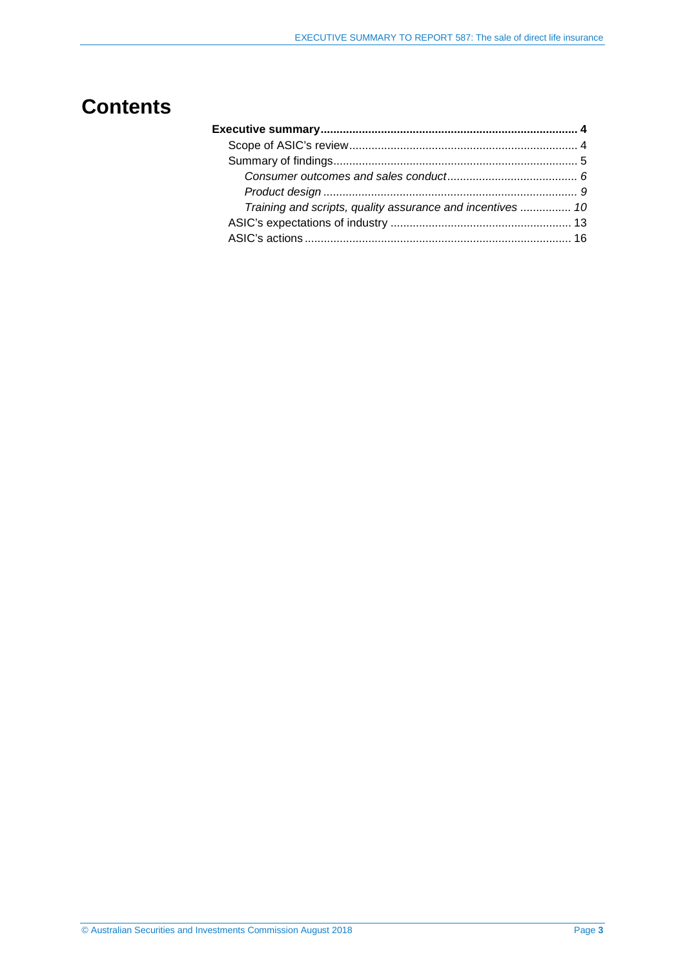## **Contents**

| Training and scripts, quality assurance and incentives  10 |  |
|------------------------------------------------------------|--|
|                                                            |  |
|                                                            |  |
|                                                            |  |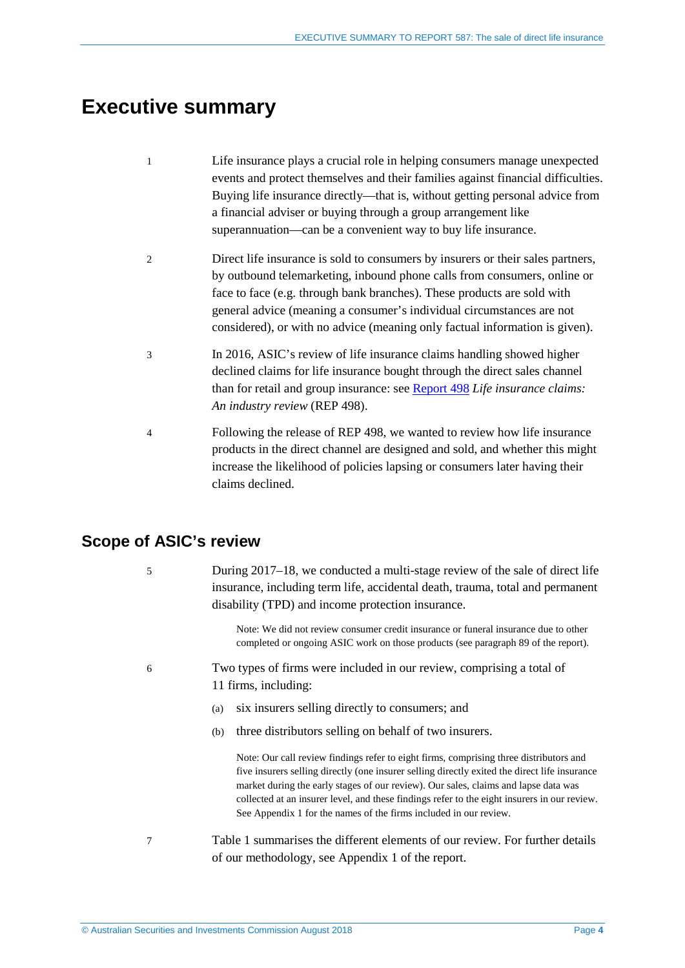## <span id="page-3-0"></span>**Executive summary**

- 1 Life insurance plays a crucial role in helping consumers manage unexpected events and protect themselves and their families against financial difficulties. Buying life insurance directly—that is, without getting personal advice from a financial adviser or buying through a group arrangement like superannuation—can be a convenient way to buy life insurance.
- 2 Direct life insurance is sold to consumers by insurers or their sales partners, by outbound telemarketing, inbound phone calls from consumers, online or face to face (e.g. through bank branches). These products are sold with general advice (meaning a consumer's individual circumstances are not considered), or with no advice (meaning only factual information is given).
- 3 In 2016, ASIC's review of life insurance claims handling showed higher declined claims for life insurance bought through the direct sales channel than for retail and group insurance: se[e Report 498](http://asic.gov.au/regulatory-resources/find-a-document/reports/rep-498-life-insurance-claims-an-industry-review/) *Life insurance claims: An industry review* (REP 498).
- 4 Following the release of REP 498, we wanted to review how life insurance products in the direct channel are designed and sold, and whether this might increase the likelihood of policies lapsing or consumers later having their claims declined.

### <span id="page-3-1"></span>**Scope of ASIC's review**

5 During 2017–18, we conducted a multi-stage review of the sale of direct life insurance, including term life, accidental death, trauma, total and permanent disability (TPD) and income protection insurance.

> Note: We did not review consumer credit insurance or funeral insurance due to other completed or ongoing ASIC work on those products (see paragraph 89 of the report).

- 6 Two types of firms were included in our review, comprising a total of 11 firms, including:
	- (a) six insurers selling directly to consumers; and
	- (b) three distributors selling on behalf of two insurers.

Note: Our call review findings refer to eight firms, comprising three distributors and five insurers selling directly (one insurer selling directly exited the direct life insurance market during the early stages of our review). Our sales, claims and lapse data was collected at an insurer level, and these findings refer to the eight insurers in our review. See Appendix 1 for the names of the firms included in our review.

7 [Table 1](#page-4-1) summarises the different elements of our review. For further details of our methodology, see Appendix 1 of the report.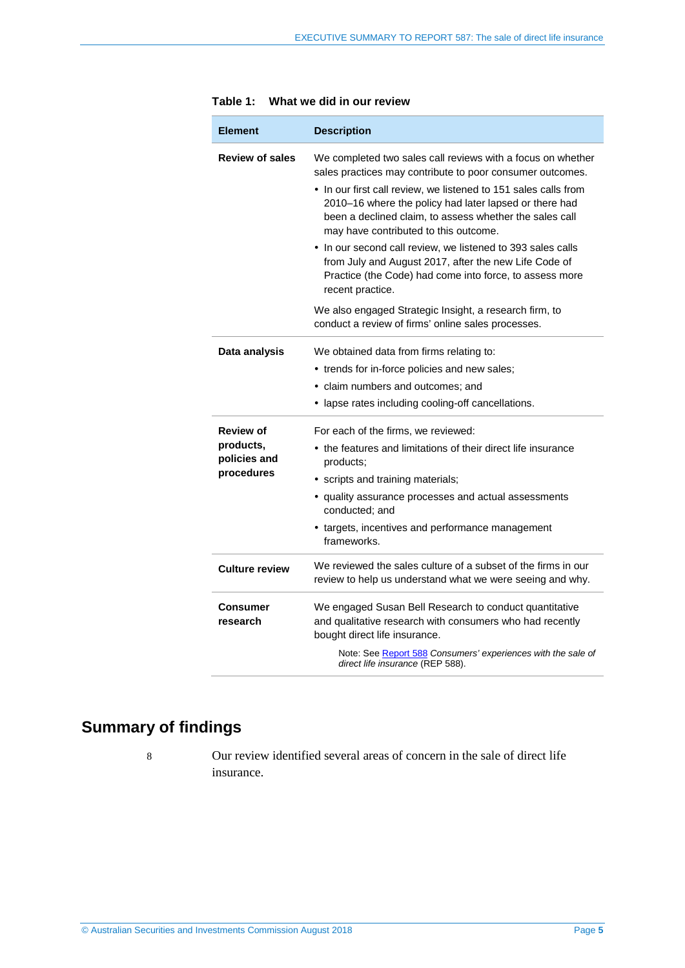| <b>Element</b>                                              | <b>Description</b>                                                                                                                                                                                                            |
|-------------------------------------------------------------|-------------------------------------------------------------------------------------------------------------------------------------------------------------------------------------------------------------------------------|
| <b>Review of sales</b>                                      | We completed two sales call reviews with a focus on whether<br>sales practices may contribute to poor consumer outcomes.                                                                                                      |
|                                                             | • In our first call review, we listened to 151 sales calls from<br>2010-16 where the policy had later lapsed or there had<br>been a declined claim, to assess whether the sales call<br>may have contributed to this outcome. |
|                                                             | • In our second call review, we listened to 393 sales calls<br>from July and August 2017, after the new Life Code of<br>Practice (the Code) had come into force, to assess more<br>recent practice.                           |
|                                                             | We also engaged Strategic Insight, a research firm, to<br>conduct a review of firms' online sales processes.                                                                                                                  |
| Data analysis                                               | We obtained data from firms relating to:                                                                                                                                                                                      |
|                                                             | • trends for in-force policies and new sales;                                                                                                                                                                                 |
|                                                             | • claim numbers and outcomes; and                                                                                                                                                                                             |
|                                                             | • lapse rates including cooling-off cancellations.                                                                                                                                                                            |
| <b>Review of</b><br>products,<br>policies and<br>procedures | For each of the firms, we reviewed:                                                                                                                                                                                           |
|                                                             | • the features and limitations of their direct life insurance<br>products;                                                                                                                                                    |
|                                                             | • scripts and training materials;                                                                                                                                                                                             |
|                                                             | • quality assurance processes and actual assessments<br>conducted: and                                                                                                                                                        |
|                                                             | • targets, incentives and performance management<br>frameworks.                                                                                                                                                               |
| <b>Culture review</b>                                       | We reviewed the sales culture of a subset of the firms in our<br>review to help us understand what we were seeing and why.                                                                                                    |
| Consumer<br>research                                        | We engaged Susan Bell Research to conduct quantitative<br>and qualitative research with consumers who had recently<br>bought direct life insurance.                                                                           |
|                                                             | Note: See Report 588 Consumers' experiences with the sale of<br>direct life insurance (REP 588).                                                                                                                              |

#### <span id="page-4-1"></span>**Table 1: What we did in our review**

## <span id="page-4-0"></span>**Summary of findings**

8 Our review identified several areas of concern in the sale of direct life insurance.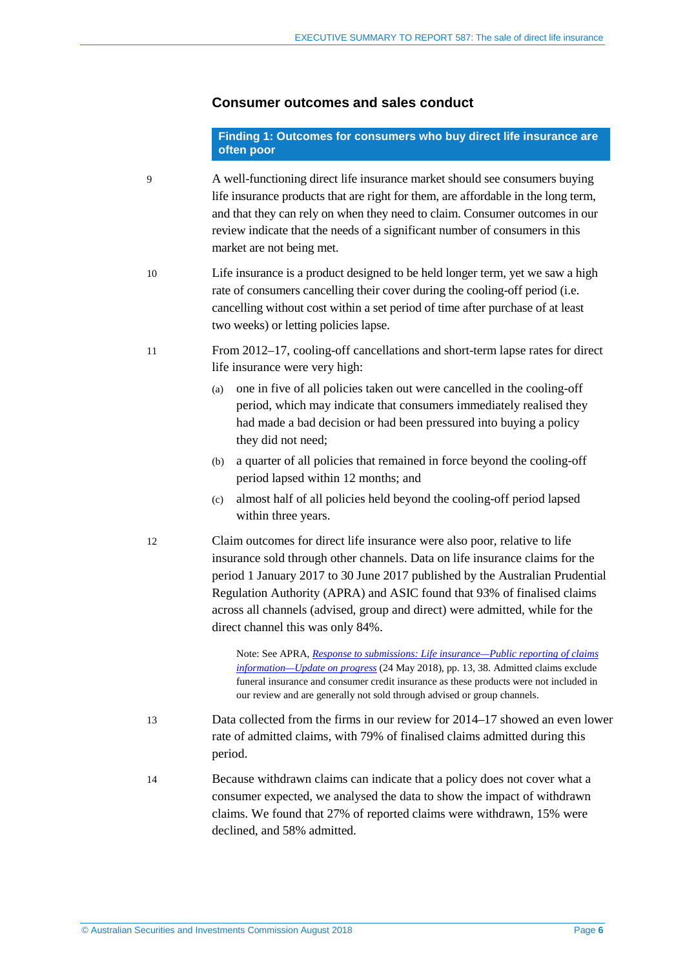#### **Consumer outcomes and sales conduct**

**Finding 1: Outcomes for consumers who buy direct life insurance are often poor**

<span id="page-5-0"></span>9 A well-functioning direct life insurance market should see consumers buying life insurance products that are right for them, are affordable in the long term, and that they can rely on when they need to claim. Consumer outcomes in our review indicate that the needs of a significant number of consumers in this market are not being met.

- 10 Life insurance is a product designed to be held longer term, yet we saw a high rate of consumers cancelling their cover during the cooling-off period (i.e. cancelling without cost within a set period of time after purchase of at least two weeks) or letting policies lapse.
- 11 From 2012–17, cooling-off cancellations and short-term lapse rates for direct life insurance were very high:
	- (a) one in five of all policies taken out were cancelled in the cooling-off period, which may indicate that consumers immediately realised they had made a bad decision or had been pressured into buying a policy they did not need;
	- (b) a quarter of all policies that remained in force beyond the cooling-off period lapsed within 12 months; and
	- (c) almost half of all policies held beyond the cooling-off period lapsed within three years.
- 12 Claim outcomes for direct life insurance were also poor, relative to life insurance sold through other channels. Data on life insurance claims for the period 1 January 2017 to 30 June 2017 published by the Australian Prudential Regulation Authority (APRA) and ASIC found that 93% of finalised claims across all channels (advised, group and direct) were admitted, while for the direct channel this was only 84%.

Note: See APRA, *[Response to submissions: Life insurance—Public reporting of claims](https://www.apra.gov.au/sites/default/files/Response-to-Submissions-Life-Claims.pdf)  [information—Update on progress](https://www.apra.gov.au/sites/default/files/Response-to-Submissions-Life-Claims.pdf)* (24 May 2018), pp. 13, 38. Admitted claims exclude funeral insurance and consumer credit insurance as these products were not included in our review and are generally not sold through advised or group channels.

- 13 Data collected from the firms in our review for 2014–17 showed an even lower rate of admitted claims, with 79% of finalised claims admitted during this period.
- 14 Because withdrawn claims can indicate that a policy does not cover what a consumer expected, we analysed the data to show the impact of withdrawn claims. We found that 27% of reported claims were withdrawn, 15% were declined, and 58% admitted.

© Australian Securities and Investments Commission August 2018 Page **6**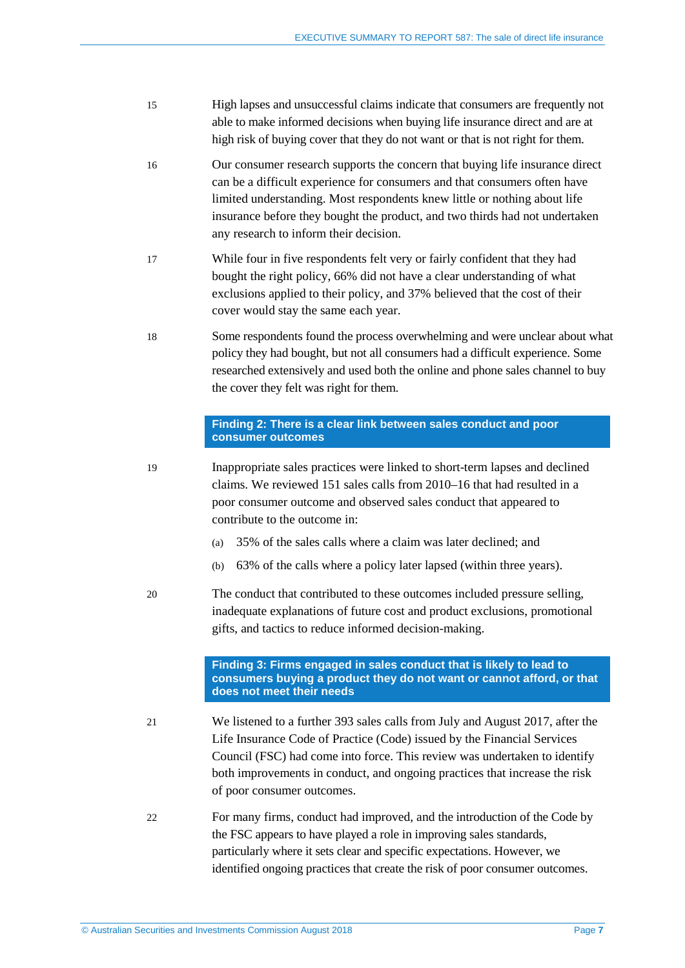- 15 High lapses and unsuccessful claims indicate that consumers are frequently not able to make informed decisions when buying life insurance direct and are at high risk of buying cover that they do not want or that is not right for them.
- 16 Our consumer research supports the concern that buying life insurance direct can be a difficult experience for consumers and that consumers often have limited understanding. Most respondents knew little or nothing about life insurance before they bought the product, and two thirds had not undertaken any research to inform their decision.
- 17 While four in five respondents felt very or fairly confident that they had bought the right policy, 66% did not have a clear understanding of what exclusions applied to their policy, and 37% believed that the cost of their cover would stay the same each year.
- 18 Some respondents found the process overwhelming and were unclear about what policy they had bought, but not all consumers had a difficult experience. Some researched extensively and used both the online and phone sales channel to buy the cover they felt was right for them.

#### **Finding 2: There is a clear link between sales conduct and poor consumer outcomes**

- 19 Inappropriate sales practices were linked to short-term lapses and declined claims. We reviewed 151 sales calls from 2010–16 that had resulted in a poor consumer outcome and observed sales conduct that appeared to contribute to the outcome in:
	- (a) 35% of the sales calls where a claim was later declined; and
	- (b) 63% of the calls where a policy later lapsed (within three years).
- 20 The conduct that contributed to these outcomes included pressure selling, inadequate explanations of future cost and product exclusions, promotional gifts, and tactics to reduce informed decision-making.

**Finding 3: Firms engaged in sales conduct that is likely to lead to consumers buying a product they do not want or cannot afford, or that does not meet their needs**

- 21 We listened to a further 393 sales calls from July and August 2017, after the Life Insurance Code of Practice (Code) issued by the Financial Services Council (FSC) had come into force. This review was undertaken to identify both improvements in conduct, and ongoing practices that increase the risk of poor consumer outcomes.
- 22 For many firms, conduct had improved, and the introduction of the Code by the FSC appears to have played a role in improving sales standards, particularly where it sets clear and specific expectations. However, we identified ongoing practices that create the risk of poor consumer outcomes.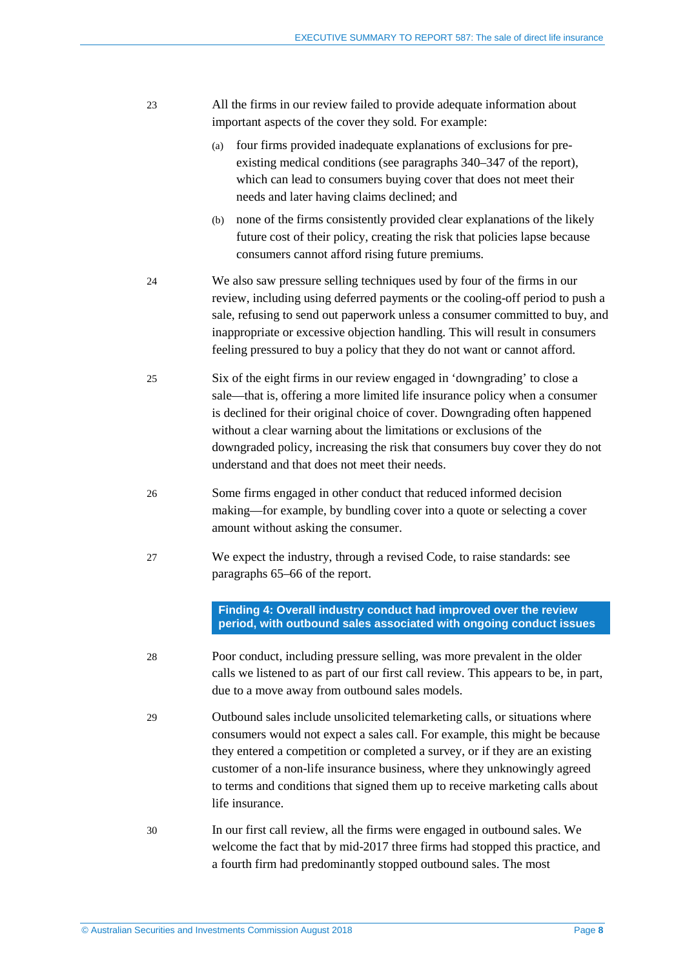| - 23 | All the firms in our review failed to provide adequate information about |
|------|--------------------------------------------------------------------------|
|      | important aspects of the cover they sold. For example:                   |

- (a) four firms provided inadequate explanations of exclusions for preexisting medical conditions (see paragraphs 340–347 of the report), which can lead to consumers buying cover that does not meet their needs and later having claims declined; and
- (b) none of the firms consistently provided clear explanations of the likely future cost of their policy, creating the risk that policies lapse because consumers cannot afford rising future premiums.
- 24 We also saw pressure selling techniques used by four of the firms in our review, including using deferred payments or the cooling-off period to push a sale, refusing to send out paperwork unless a consumer committed to buy, and inappropriate or excessive objection handling. This will result in consumers feeling pressured to buy a policy that they do not want or cannot afford.
- 25 Six of the eight firms in our review engaged in 'downgrading' to close a sale—that is, offering a more limited life insurance policy when a consumer is declined for their original choice of cover. Downgrading often happened without a clear warning about the limitations or exclusions of the downgraded policy, increasing the risk that consumers buy cover they do not understand and that does not meet their needs.
- 26 Some firms engaged in other conduct that reduced informed decision making—for example, by bundling cover into a quote or selecting a cover amount without asking the consumer.
- 27 We expect the industry, through a revised Code, to raise standards: see paragraphs 65–66 of the report.

**Finding 4: Overall industry conduct had improved over the review period, with outbound sales associated with ongoing conduct issues**

- 28 Poor conduct, including pressure selling, was more prevalent in the older calls we listened to as part of our first call review. This appears to be, in part, due to a move away from outbound sales models.
- 29 Outbound sales include unsolicited telemarketing calls, or situations where consumers would not expect a sales call. For example, this might be because they entered a competition or completed a survey, or if they are an existing customer of a non-life insurance business, where they unknowingly agreed to terms and conditions that signed them up to receive marketing calls about life insurance.
- 30 In our first call review, all the firms were engaged in outbound sales. We welcome the fact that by mid-2017 three firms had stopped this practice, and a fourth firm had predominantly stopped outbound sales. The most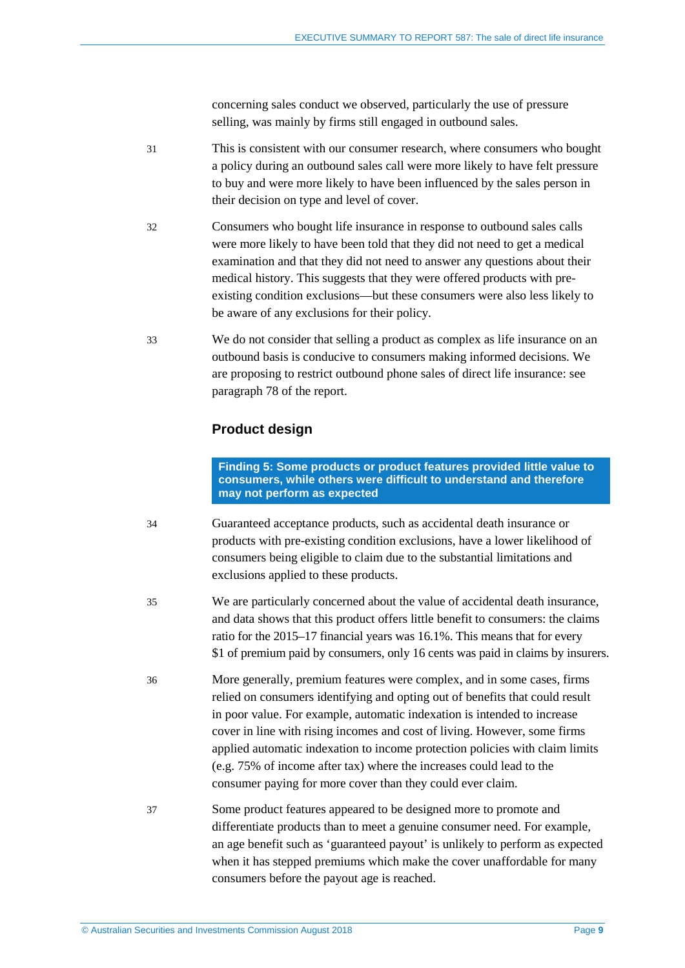concerning sales conduct we observed, particularly the use of pressure selling, was mainly by firms still engaged in outbound sales.

- 31 This is consistent with our consumer research, where consumers who bought a policy during an outbound sales call were more likely to have felt pressure to buy and were more likely to have been influenced by the sales person in their decision on type and level of cover.
- 32 Consumers who bought life insurance in response to outbound sales calls were more likely to have been told that they did not need to get a medical examination and that they did not need to answer any questions about their medical history. This suggests that they were offered products with preexisting condition exclusions—but these consumers were also less likely to be aware of any exclusions for their policy.
- <span id="page-8-0"></span>33 We do not consider that selling a product as complex as life insurance on an outbound basis is conducive to consumers making informed decisions. We are proposing to restrict outbound phone sales of direct life insurance: see paragraph 78 of the report.

#### **Product design**

**Finding 5: Some products or product features provided little value to consumers, while others were difficult to understand and therefore may not perform as expected**

- 34 Guaranteed acceptance products, such as accidental death insurance or products with pre-existing condition exclusions, have a lower likelihood of consumers being eligible to claim due to the substantial limitations and exclusions applied to these products.
- 35 We are particularly concerned about the value of accidental death insurance, and data shows that this product offers little benefit to consumers: the claims ratio for the 2015–17 financial years was 16.1%. This means that for every \$1 of premium paid by consumers, only 16 cents was paid in claims by insurers.
- 36 More generally, premium features were complex, and in some cases, firms relied on consumers identifying and opting out of benefits that could result in poor value. For example, automatic indexation is intended to increase cover in line with rising incomes and cost of living. However, some firms applied automatic indexation to income protection policies with claim limits (e.g. 75% of income after tax) where the increases could lead to the consumer paying for more cover than they could ever claim.
- 37 Some product features appeared to be designed more to promote and differentiate products than to meet a genuine consumer need. For example, an age benefit such as 'guaranteed payout' is unlikely to perform as expected when it has stepped premiums which make the cover unaffordable for many consumers before the payout age is reached.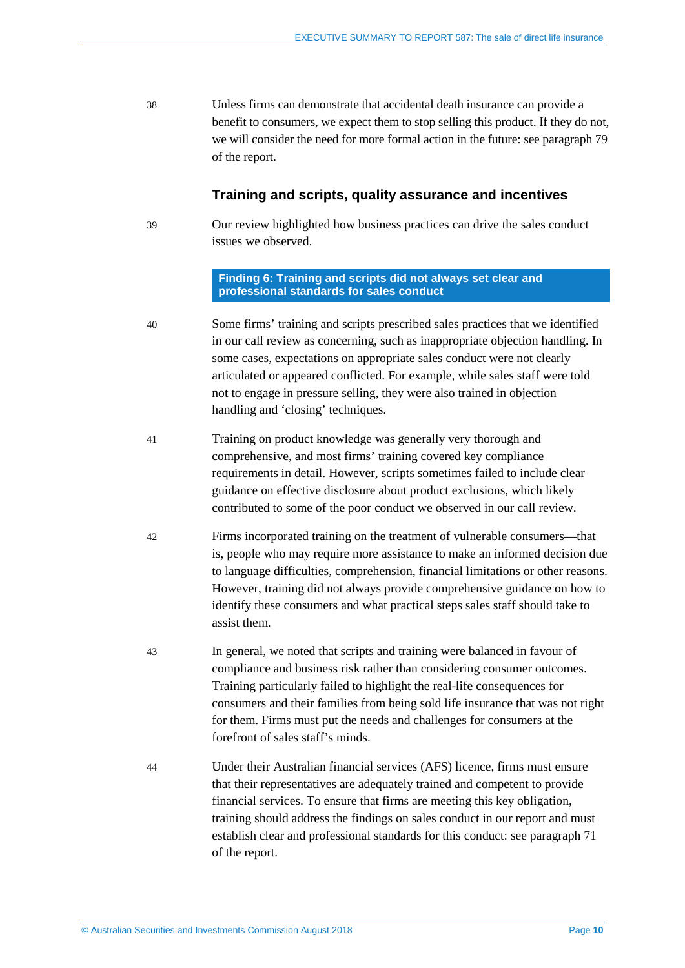38 Unless firms can demonstrate that accidental death insurance can provide a benefit to consumers, we expect them to stop selling this product. If they do not, we will consider the need for more formal action in the future: see paragraph 79 of the report.

#### **Training and scripts, quality assurance and incentives**

<span id="page-9-0"></span>39 Our review highlighted how business practices can drive the sales conduct issues we observed.

#### **Finding 6: Training and scripts did not always set clear and professional standards for sales conduct**

- 40 Some firms' training and scripts prescribed sales practices that we identified in our call review as concerning, such as inappropriate objection handling. In some cases, expectations on appropriate sales conduct were not clearly articulated or appeared conflicted. For example, while sales staff were told not to engage in pressure selling, they were also trained in objection handling and 'closing' techniques.
- 41 Training on product knowledge was generally very thorough and comprehensive, and most firms' training covered key compliance requirements in detail. However, scripts sometimes failed to include clear guidance on effective disclosure about product exclusions, which likely contributed to some of the poor conduct we observed in our call review.
- 42 Firms incorporated training on the treatment of vulnerable consumers—that is, people who may require more assistance to make an informed decision due to language difficulties, comprehension, financial limitations or other reasons. However, training did not always provide comprehensive guidance on how to identify these consumers and what practical steps sales staff should take to assist them.
- 43 In general, we noted that scripts and training were balanced in favour of compliance and business risk rather than considering consumer outcomes. Training particularly failed to highlight the real-life consequences for consumers and their families from being sold life insurance that was not right for them. Firms must put the needs and challenges for consumers at the forefront of sales staff's minds.
- 44 Under their Australian financial services (AFS) licence, firms must ensure that their representatives are adequately trained and competent to provide financial services. To ensure that firms are meeting this key obligation, training should address the findings on sales conduct in our report and must establish clear and professional standards for this conduct: see paragraph 71 of the report.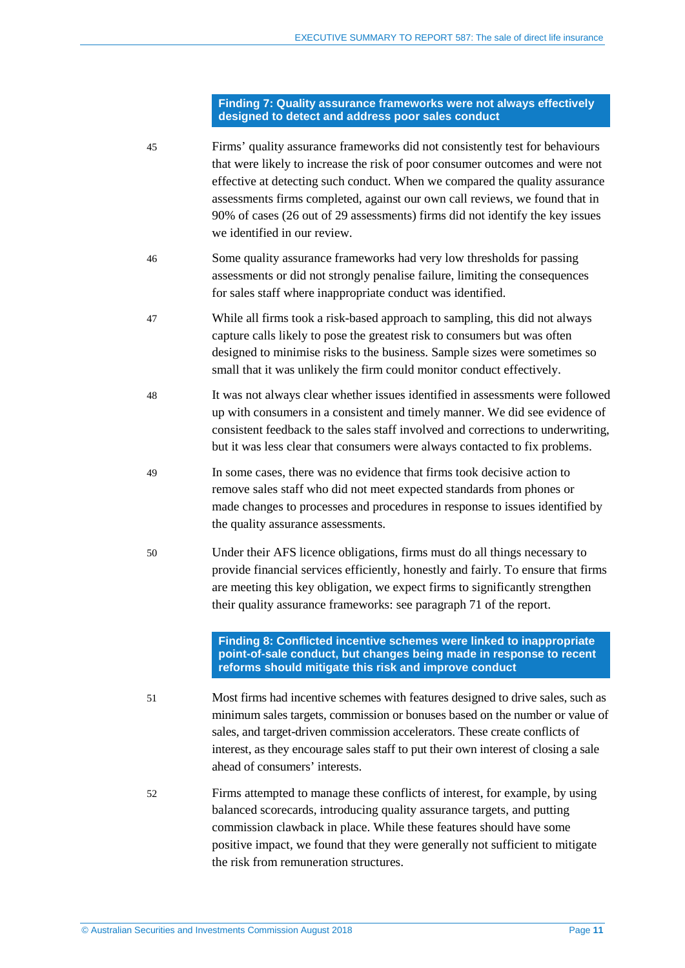**Finding 7: Quality assurance frameworks were not always effectively designed to detect and address poor sales conduct** 

45 Firms' quality assurance frameworks did not consistently test for behaviours that were likely to increase the risk of poor consumer outcomes and were not effective at detecting such conduct. When we compared the quality assurance assessments firms completed, against our own call reviews, we found that in 90% of cases (26 out of 29 assessments) firms did not identify the key issues we identified in our review.

- 46 Some quality assurance frameworks had very low thresholds for passing assessments or did not strongly penalise failure, limiting the consequences for sales staff where inappropriate conduct was identified.
- 47 While all firms took a risk-based approach to sampling, this did not always capture calls likely to pose the greatest risk to consumers but was often designed to minimise risks to the business. Sample sizes were sometimes so small that it was unlikely the firm could monitor conduct effectively.
- 48 It was not always clear whether issues identified in assessments were followed up with consumers in a consistent and timely manner. We did see evidence of consistent feedback to the sales staff involved and corrections to underwriting, but it was less clear that consumers were always contacted to fix problems.
- 49 In some cases, there was no evidence that firms took decisive action to remove sales staff who did not meet expected standards from phones or made changes to processes and procedures in response to issues identified by the quality assurance assessments.
- 50 Under their AFS licence obligations, firms must do all things necessary to provide financial services efficiently, honestly and fairly. To ensure that firms are meeting this key obligation, we expect firms to significantly strengthen their quality assurance frameworks: see paragraph 71 of the report.

**Finding 8: Conflicted incentive schemes were linked to inappropriate point-of-sale conduct, but changes being made in response to recent reforms should mitigate this risk and improve conduct** 

- 51 Most firms had incentive schemes with features designed to drive sales, such as minimum sales targets, commission or bonuses based on the number or value of sales, and target-driven commission accelerators. These create conflicts of interest, as they encourage sales staff to put their own interest of closing a sale ahead of consumers' interests.
- 52 Firms attempted to manage these conflicts of interest, for example, by using balanced scorecards, introducing quality assurance targets, and putting commission clawback in place. While these features should have some positive impact, we found that they were generally not sufficient to mitigate the risk from remuneration structures.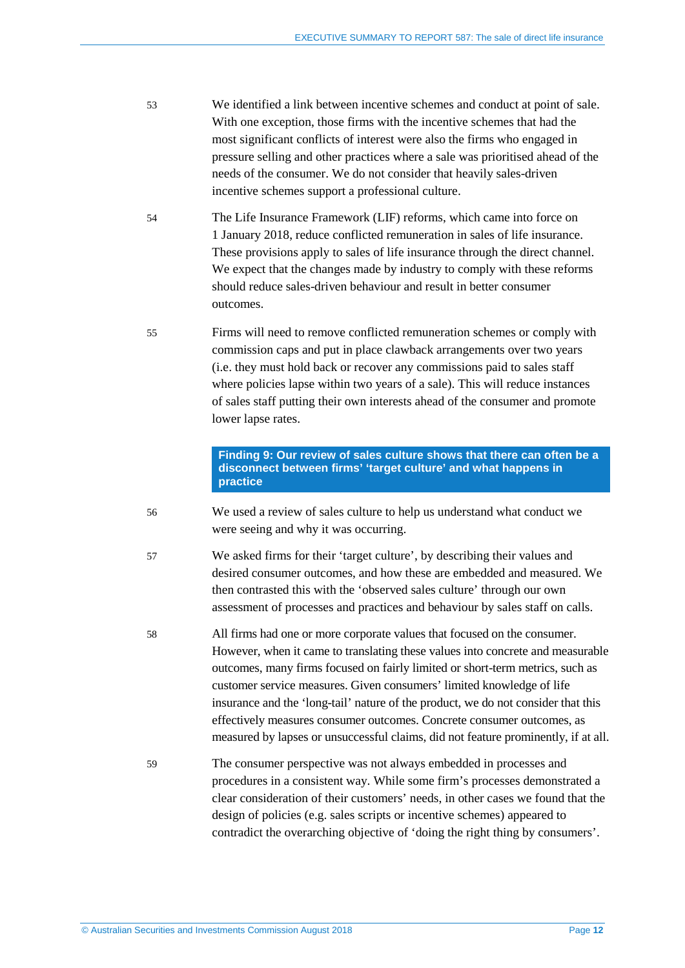- 53 We identified a link between incentive schemes and conduct at point of sale. With one exception, those firms with the incentive schemes that had the most significant conflicts of interest were also the firms who engaged in pressure selling and other practices where a sale was prioritised ahead of the needs of the consumer. We do not consider that heavily sales-driven incentive schemes support a professional culture.
- 54 The Life Insurance Framework (LIF) reforms, which came into force on 1 January 2018, reduce conflicted remuneration in sales of life insurance. These provisions apply to sales of life insurance through the direct channel. We expect that the changes made by industry to comply with these reforms should reduce sales-driven behaviour and result in better consumer outcomes.
- 55 Firms will need to remove conflicted remuneration schemes or comply with commission caps and put in place clawback arrangements over two years (i.e. they must hold back or recover any commissions paid to sales staff where policies lapse within two years of a sale). This will reduce instances of sales staff putting their own interests ahead of the consumer and promote lower lapse rates.

**Finding 9: Our review of sales culture shows that there can often be a disconnect between firms' 'target culture' and what happens in practice** 

- 56 We used a review of sales culture to help us understand what conduct we were seeing and why it was occurring.
- 57 We asked firms for their 'target culture', by describing their values and desired consumer outcomes, and how these are embedded and measured. We then contrasted this with the 'observed sales culture' through our own assessment of processes and practices and behaviour by sales staff on calls.
- 58 All firms had one or more corporate values that focused on the consumer. However, when it came to translating these values into concrete and measurable outcomes, many firms focused on fairly limited or short-term metrics, such as customer service measures. Given consumers' limited knowledge of life insurance and the 'long-tail' nature of the product, we do not consider that this effectively measures consumer outcomes. Concrete consumer outcomes, as measured by lapses or unsuccessful claims, did not feature prominently, if at all.
- 59 The consumer perspective was not always embedded in processes and procedures in a consistent way. While some firm's processes demonstrated a clear consideration of their customers' needs, in other cases we found that the design of policies (e.g. sales scripts or incentive schemes) appeared to contradict the overarching objective of 'doing the right thing by consumers'.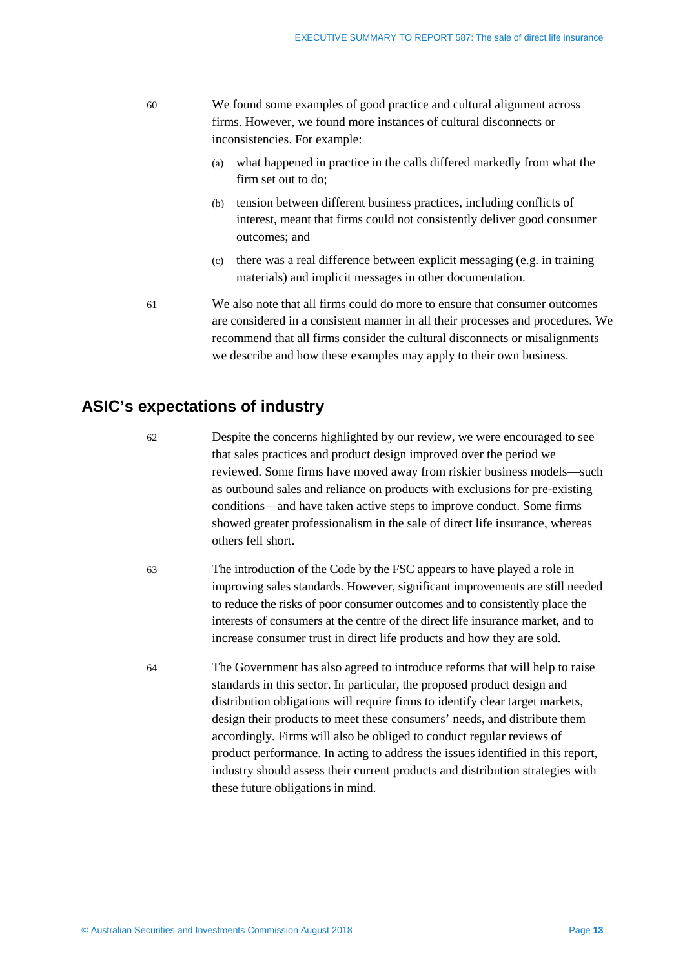- 60 We found some examples of good practice and cultural alignment across firms. However, we found more instances of cultural disconnects or inconsistencies. For example:
	- (a) what happened in practice in the calls differed markedly from what the firm set out to do;
	- (b) tension between different business practices, including conflicts of interest, meant that firms could not consistently deliver good consumer outcomes; and
	- (c) there was a real difference between explicit messaging (e.g. in training materials) and implicit messages in other documentation.
- 61 We also note that all firms could do more to ensure that consumer outcomes are considered in a consistent manner in all their processes and procedures. We recommend that all firms consider the cultural disconnects or misalignments we describe and how these examples may apply to their own business.

### <span id="page-12-0"></span>**ASIC's expectations of industry**

62 Despite the concerns highlighted by our review, we were encouraged to see that sales practices and product design improved over the period we reviewed. Some firms have moved away from riskier business models—such as outbound sales and reliance on products with exclusions for pre-existing conditions—and have taken active steps to improve conduct. Some firms showed greater professionalism in the sale of direct life insurance, whereas others fell short.

- 63 The introduction of the Code by the FSC appears to have played a role in improving sales standards. However, significant improvements are still needed to reduce the risks of poor consumer outcomes and to consistently place the interests of consumers at the centre of the direct life insurance market, and to increase consumer trust in direct life products and how they are sold.
- 64 The Government has also agreed to introduce reforms that will help to raise standards in this sector. In particular, the proposed product design and distribution obligations will require firms to identify clear target markets, design their products to meet these consumers' needs, and distribute them accordingly. Firms will also be obliged to conduct regular reviews of product performance. In acting to address the issues identified in this report, industry should assess their current products and distribution strategies with these future obligations in mind.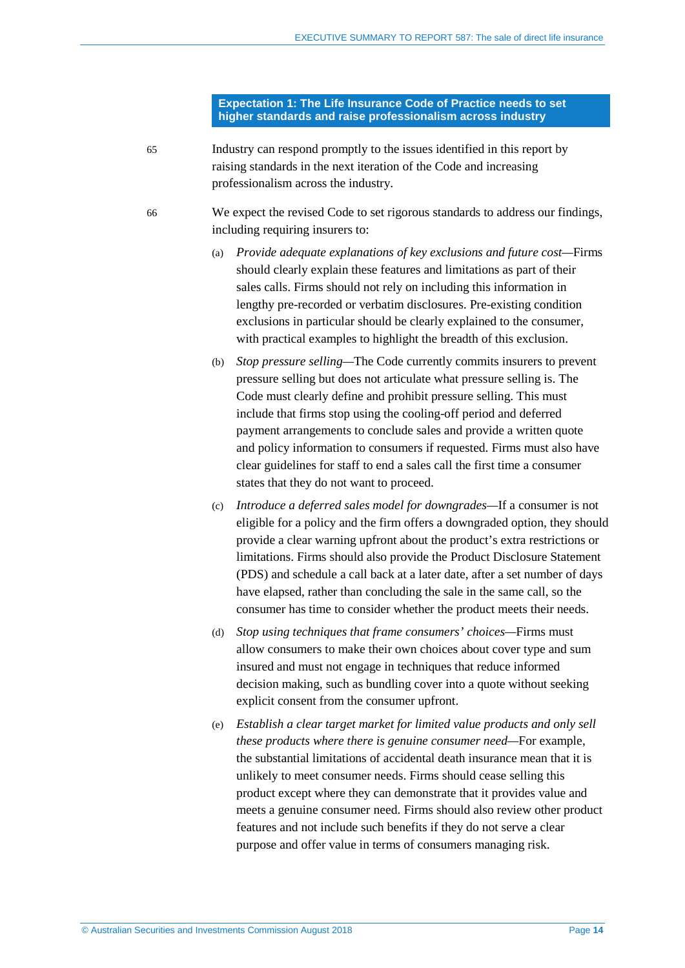**Expectation 1: The Life Insurance Code of Practice needs to set higher standards and raise professionalism across industry**

- 65 Industry can respond promptly to the issues identified in this report by raising standards in the next iteration of the Code and increasing professionalism across the industry.
- 66 We expect the revised Code to set rigorous standards to address our findings, including requiring insurers to:
	- (a) *Provide adequate explanations of key exclusions and future cost—*Firms should clearly explain these features and limitations as part of their sales calls. Firms should not rely on including this information in lengthy pre-recorded or verbatim disclosures. Pre-existing condition exclusions in particular should be clearly explained to the consumer, with practical examples to highlight the breadth of this exclusion.
	- (b) *Stop pressure selling—*The Code currently commits insurers to prevent pressure selling but does not articulate what pressure selling is. The Code must clearly define and prohibit pressure selling. This must include that firms stop using the cooling-off period and deferred payment arrangements to conclude sales and provide a written quote and policy information to consumers if requested. Firms must also have clear guidelines for staff to end a sales call the first time a consumer states that they do not want to proceed.
	- (c) *Introduce a deferred sales model for downgrades—*If a consumer is not eligible for a policy and the firm offers a downgraded option, they should provide a clear warning upfront about the product's extra restrictions or limitations. Firms should also provide the Product Disclosure Statement (PDS) and schedule a call back at a later date, after a set number of days have elapsed, rather than concluding the sale in the same call, so the consumer has time to consider whether the product meets their needs.
	- (d) *Stop using techniques that frame consumers' choices—*Firms must allow consumers to make their own choices about cover type and sum insured and must not engage in techniques that reduce informed decision making, such as bundling cover into a quote without seeking explicit consent from the consumer upfront.
	- (e) *Establish a clear target market for limited value products and only sell these products where there is genuine consumer need—*For example, the substantial limitations of accidental death insurance mean that it is unlikely to meet consumer needs. Firms should cease selling this product except where they can demonstrate that it provides value and meets a genuine consumer need. Firms should also review other product features and not include such benefits if they do not serve a clear purpose and offer value in terms of consumers managing risk.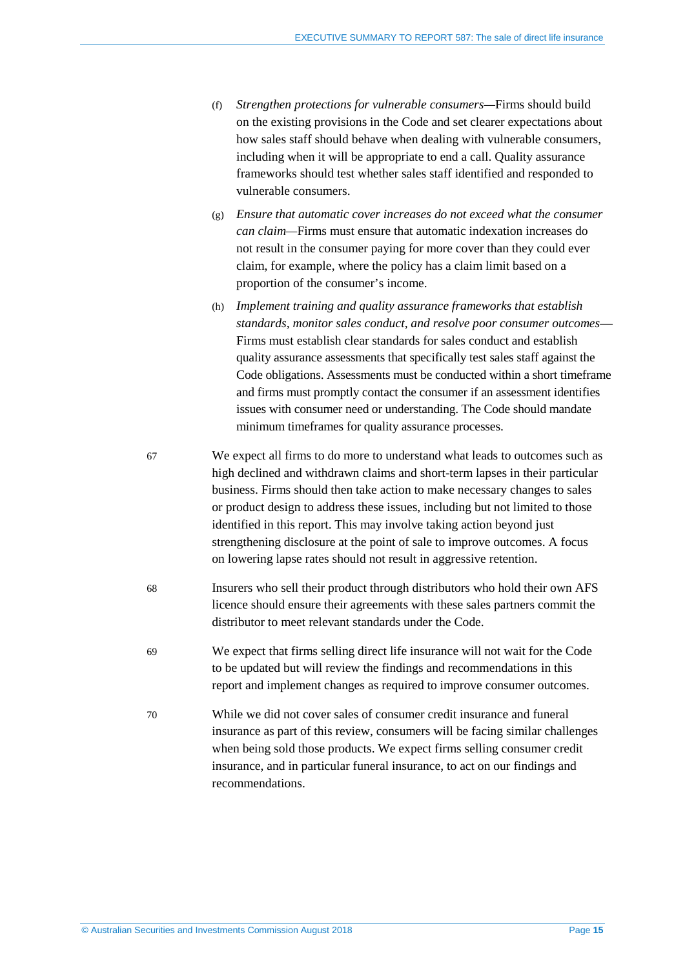- (f) *Strengthen protections for vulnerable consumers—*Firms should build on the existing provisions in the Code and set clearer expectations about how sales staff should behave when dealing with vulnerable consumers, including when it will be appropriate to end a call. Quality assurance frameworks should test whether sales staff identified and responded to vulnerable consumers.
- (g) *Ensure that automatic cover increases do not exceed what the consumer can claim—*Firms must ensure that automatic indexation increases do not result in the consumer paying for more cover than they could ever claim, for example, where the policy has a claim limit based on a proportion of the consumer's income.
- (h) *Implement training and quality assurance frameworks that establish standards, monitor sales conduct, and resolve poor consumer outcomes*— Firms must establish clear standards for sales conduct and establish quality assurance assessments that specifically test sales staff against the Code obligations. Assessments must be conducted within a short timeframe and firms must promptly contact the consumer if an assessment identifies issues with consumer need or understanding. The Code should mandate minimum timeframes for quality assurance processes.
- 67 We expect all firms to do more to understand what leads to outcomes such as high declined and withdrawn claims and short-term lapses in their particular business. Firms should then take action to make necessary changes to sales or product design to address these issues, including but not limited to those identified in this report. This may involve taking action beyond just strengthening disclosure at the point of sale to improve outcomes. A focus on lowering lapse rates should not result in aggressive retention. 68 Insurers who sell their product through distributors who hold their own AFS licence should ensure their agreements with these sales partners commit the distributor to meet relevant standards under the Code. 69 We expect that firms selling direct life insurance will not wait for the Code to be updated but will review the findings and recommendations in this report and implement changes as required to improve consumer outcomes. 70 While we did not cover sales of consumer credit insurance and funeral insurance as part of this review, consumers will be facing similar challenges when being sold those products. We expect firms selling consumer credit

insurance, and in particular funeral insurance, to act on our findings and

recommendations.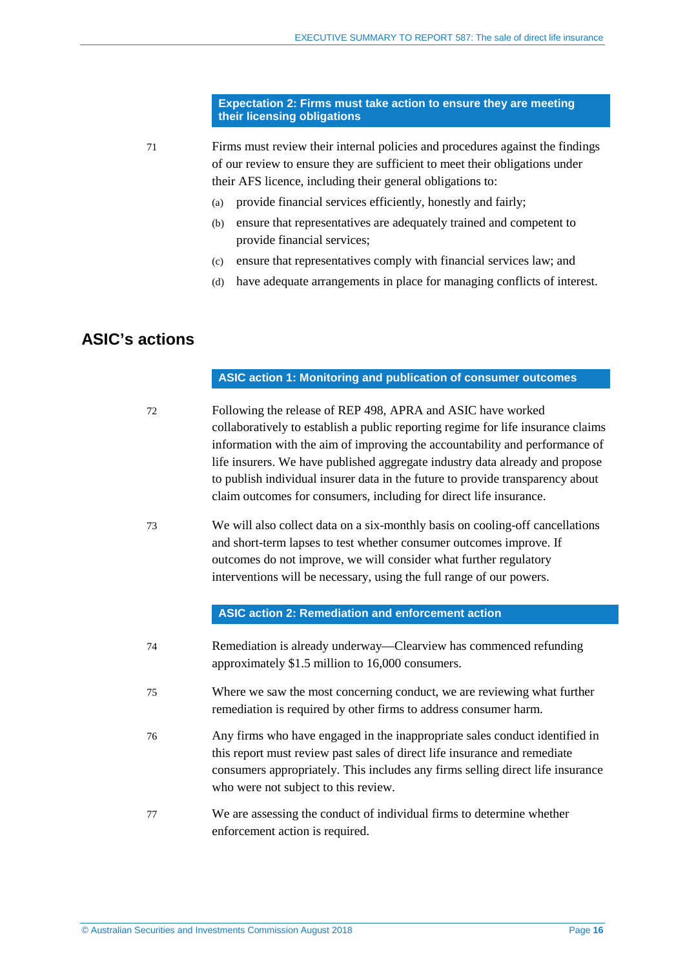**Expectation 2: Firms must take action to ensure they are meeting their licensing obligations**

71 Firms must review their internal policies and procedures against the findings of our review to ensure they are sufficient to meet their obligations under their AFS licence, including their general obligations to:

- (a) provide financial services efficiently, honestly and fairly;
- (b) ensure that representatives are adequately trained and competent to provide financial services;
- (c) ensure that representatives comply with financial services law; and
- (d) have adequate arrangements in place for managing conflicts of interest.

## <span id="page-15-0"></span>**ASIC's actions**

#### **ASIC action 1: Monitoring and publication of consumer outcomes**

- 72 Following the release of REP 498, APRA and ASIC have worked collaboratively to establish a public reporting regime for life insurance claims information with the aim of improving the accountability and performance of life insurers. We have published aggregate industry data already and propose to publish individual insurer data in the future to provide transparency about claim outcomes for consumers, including for direct life insurance.
- 73 We will also collect data on a six-monthly basis on cooling-off cancellations and short-term lapses to test whether consumer outcomes improve. If outcomes do not improve, we will consider what further regulatory interventions will be necessary, using the full range of our powers.

#### **ASIC action 2: Remediation and enforcement action**

- 74 Remediation is already underway—Clearview has commenced refunding approximately \$1.5 million to 16,000 consumers.
- 75 Where we saw the most concerning conduct, we are reviewing what further remediation is required by other firms to address consumer harm.
- 76 Any firms who have engaged in the inappropriate sales conduct identified in this report must review past sales of direct life insurance and remediate consumers appropriately. This includes any firms selling direct life insurance who were not subject to this review.
- 77 We are assessing the conduct of individual firms to determine whether enforcement action is required.